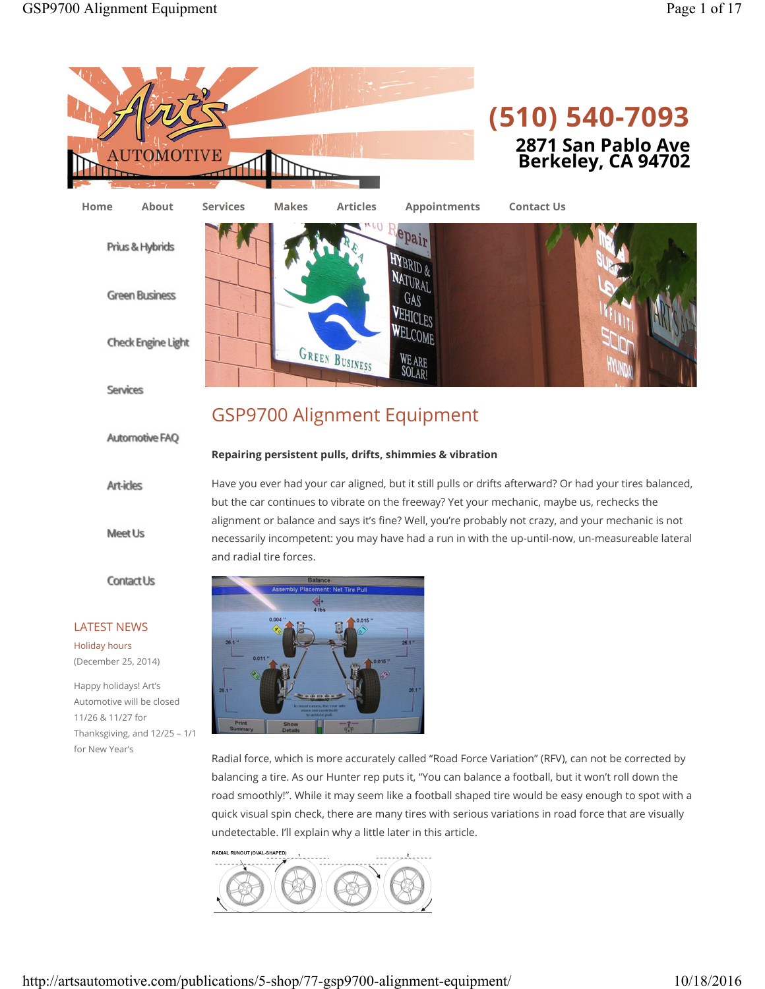





Services

**Art-icles** 

Meet Us

**Contact Us** 

**Automotive FAQ** 

LATEST NEWS Holiday hours (December 25, 2014) Happy holidays! Art's Automotive will be closed 11/26 & 11/27 for

for New Year's

# GSP9700 Alignment Equipment

# **Repairing persistent pulls, drifts, shimmies & vibration**

Have you ever had your car aligned, but it still pulls or drifts afterward? Or had your tires balanced, but the car continues to vibrate on the freeway? Yet your mechanic, maybe us, rechecks the alignment or balance and says it's fine? Well, you're probably not crazy, and your mechanic is not necessarily incompetent: you may have had a run in with the up-until-now, un-measureable lateral and radial tire forces.



Radial force, which is more accurately called "Road Force Variation" (RFV), can not be corrected by balancing a tire. As our Hunter rep puts it, "You can balance a football, but it won't roll down the road smoothly!". While it may seem like a football shaped tire would be easy enough to spot with a quick visual spin check, there are many tires with serious variations in road force that are visually undetectable. I'll explain why a little later in this article.

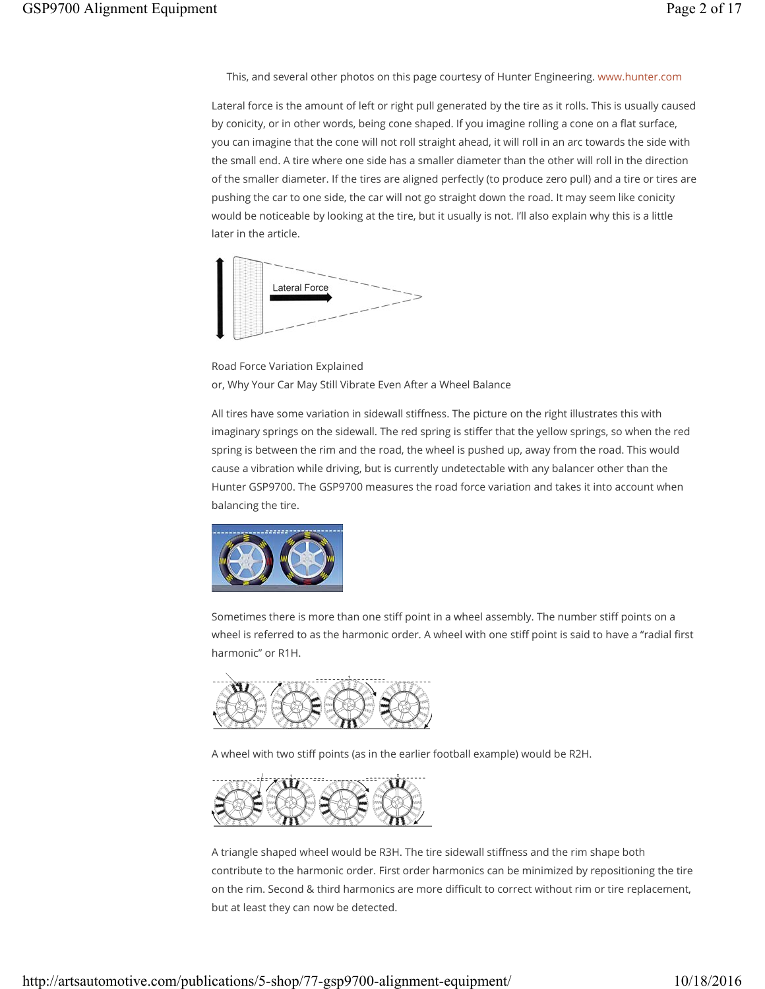This, and several other photos on this page courtesy of Hunter Engineering. www.hunter.com

Lateral force is the amount of left or right pull generated by the tire as it rolls. This is usually caused by conicity, or in other words, being cone shaped. If you imagine rolling a cone on a flat surface, you can imagine that the cone will not roll straight ahead, it will roll in an arc towards the side with the small end. A tire where one side has a smaller diameter than the other will roll in the direction of the smaller diameter. If the tires are aligned perfectly (to produce zero pull) and a tire or tires are pushing the car to one side, the car will not go straight down the road. It may seem like conicity would be noticeable by looking at the tire, but it usually is not. I'll also explain why this is a little later in the article.



Road Force Variation Explained or, Why Your Car May Still Vibrate Even After a Wheel Balance

All tires have some variation in sidewall stiffness. The picture on the right illustrates this with imaginary springs on the sidewall. The red spring is stiffer that the yellow springs, so when the red spring is between the rim and the road, the wheel is pushed up, away from the road. This would cause a vibration while driving, but is currently undetectable with any balancer other than the Hunter GSP9700. The GSP9700 measures the road force variation and takes it into account when balancing the tire.



Sometimes there is more than one stiff point in a wheel assembly. The number stiff points on a wheel is referred to as the harmonic order. A wheel with one stiff point is said to have a "radial first harmonic" or R1H.



A wheel with two stiff points (as in the earlier football example) would be R2H.



A triangle shaped wheel would be R3H. The tire sidewall stiffness and the rim shape both contribute to the harmonic order. First order harmonics can be minimized by repositioning the tire on the rim. Second & third harmonics are more difficult to correct without rim or tire replacement, but at least they can now be detected.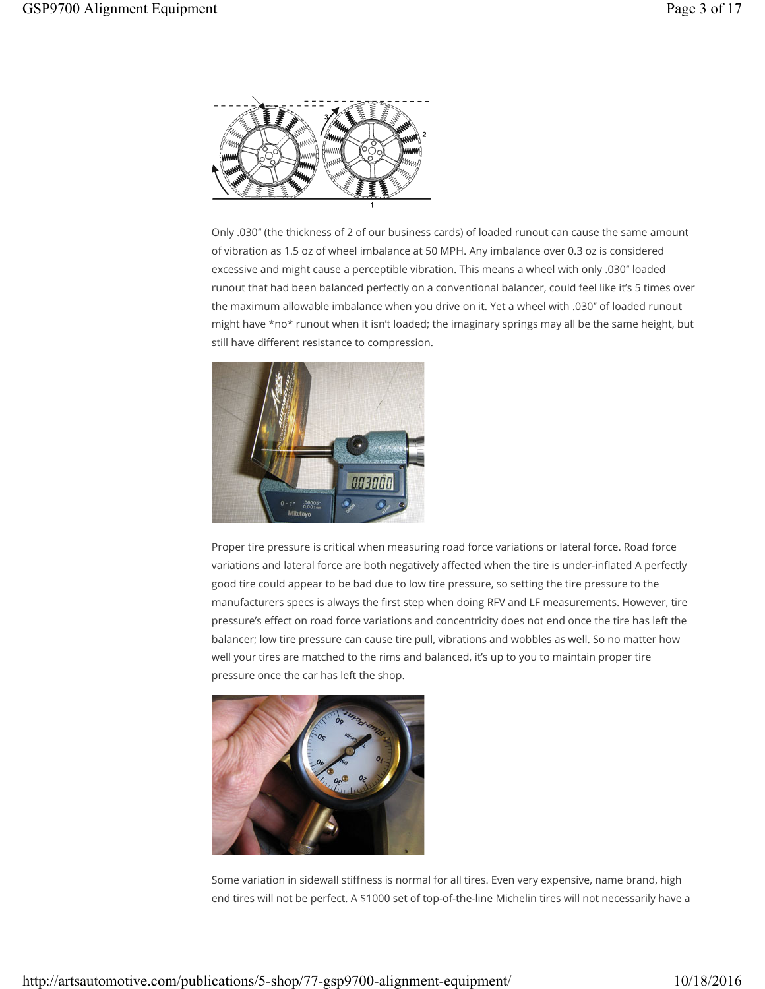

Only .030″ (the thickness of 2 of our business cards) of loaded runout can cause the same amount of vibration as 1.5 oz of wheel imbalance at 50 MPH. Any imbalance over 0.3 oz is considered excessive and might cause a perceptible vibration. This means a wheel with only .030″ loaded runout that had been balanced perfectly on a conventional balancer, could feel like it's 5 times over the maximum allowable imbalance when you drive on it. Yet a wheel with .030″ of loaded runout might have \*no\* runout when it isn't loaded; the imaginary springs may all be the same height, but still have different resistance to compression.



Proper tire pressure is critical when measuring road force variations or lateral force. Road force variations and lateral force are both negatively affected when the tire is under-inflated A perfectly good tire could appear to be bad due to low tire pressure, so setting the tire pressure to the manufacturers specs is always the first step when doing RFV and LF measurements. However, tire pressure's effect on road force variations and concentricity does not end once the tire has left the balancer; low tire pressure can cause tire pull, vibrations and wobbles as well. So no matter how well your tires are matched to the rims and balanced, it's up to you to maintain proper tire pressure once the car has left the shop.



Some variation in sidewall stiffness is normal for all tires. Even very expensive, name brand, high end tires will not be perfect. A \$1000 set of top-of-the-line Michelin tires will not necessarily have a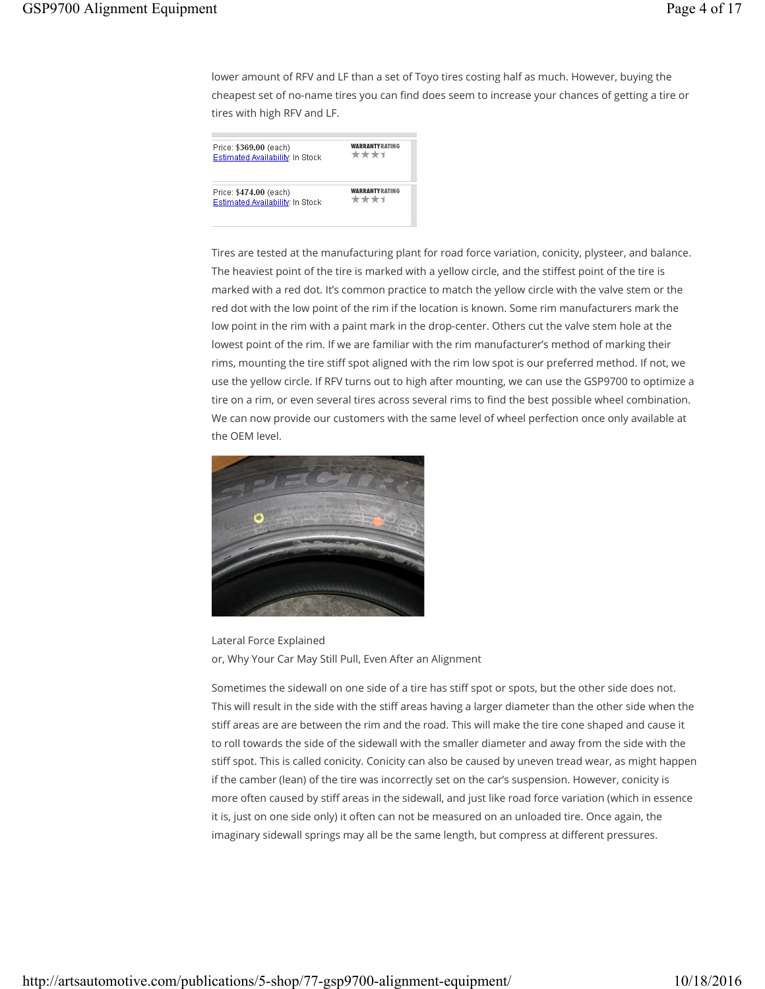lower amount of RFV and LF than a set of Toyo tires costing half as much. However, buying the cheapest set of no-name tires you can find does seem to increase your chances of getting a tire or tires with high RFV and LF.

| Price: \$369.00 (each)                                            | <b>WARRANTYRATING</b>  |
|-------------------------------------------------------------------|------------------------|
| Estimated Availability: In Stock                                  | ****                   |
| Price: \$474.00 (each)<br><b>Estimated Availability: In Stock</b> | <b>WARRANTY RATING</b> |

Tires are tested at the manufacturing plant for road force variation, conicity, plysteer, and balance. The heaviest point of the tire is marked with a yellow circle, and the stiffest point of the tire is marked with a red dot. It's common practice to match the yellow circle with the valve stem or the red dot with the low point of the rim if the location is known. Some rim manufacturers mark the low point in the rim with a paint mark in the drop-center. Others cut the valve stem hole at the lowest point of the rim. If we are familiar with the rim manufacturer's method of marking their rims, mounting the tire stiff spot aligned with the rim low spot is our preferred method. If not, we use the yellow circle. If RFV turns out to high after mounting, we can use the GSP9700 to optimize a tire on a rim, or even several tires across several rims to find the best possible wheel combination. We can now provide our customers with the same level of wheel perfection once only available at the OEM level.



Lateral Force Explained or, Why Your Car May Still Pull, Even After an Alignment

Sometimes the sidewall on one side of a tire has stiff spot or spots, but the other side does not. This will result in the side with the stiff areas having a larger diameter than the other side when the stiff areas are are between the rim and the road. This will make the tire cone shaped and cause it to roll towards the side of the sidewall with the smaller diameter and away from the side with the stiff spot. This is called conicity. Conicity can also be caused by uneven tread wear, as might happen if the camber (lean) of the tire was incorrectly set on the car's suspension. However, conicity is more often caused by stiff areas in the sidewall, and just like road force variation (which in essence it is, just on one side only) it often can not be measured on an unloaded tire. Once again, the imaginary sidewall springs may all be the same length, but compress at different pressures.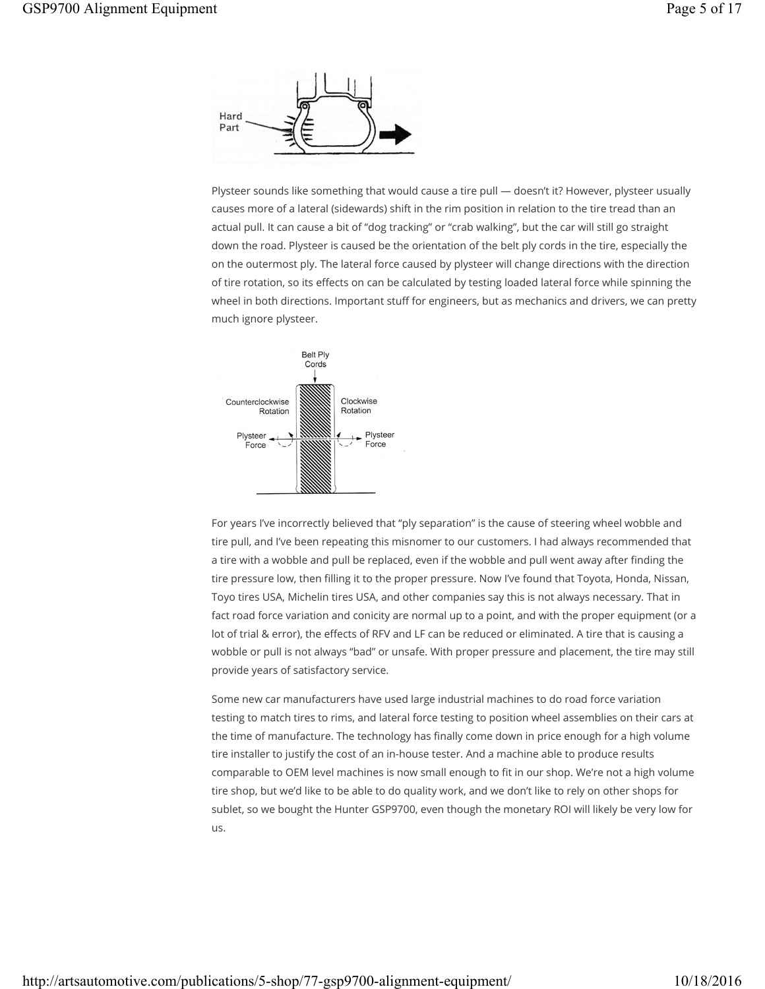

Plysteer sounds like something that would cause a tire pull — doesn't it? However, plysteer usually causes more of a lateral (sidewards) shift in the rim position in relation to the tire tread than an actual pull. It can cause a bit of "dog tracking" or "crab walking", but the car will still go straight down the road. Plysteer is caused be the orientation of the belt ply cords in the tire, especially the on the outermost ply. The lateral force caused by plysteer will change directions with the direction of tire rotation, so its effects on can be calculated by testing loaded lateral force while spinning the wheel in both directions. Important stuff for engineers, but as mechanics and drivers, we can pretty much ignore plysteer.



For years I've incorrectly believed that "ply separation" is the cause of steering wheel wobble and tire pull, and I've been repeating this misnomer to our customers. I had always recommended that a tire with a wobble and pull be replaced, even if the wobble and pull went away after finding the tire pressure low, then filling it to the proper pressure. Now I've found that Toyota, Honda, Nissan, Toyo tires USA, Michelin tires USA, and other companies say this is not always necessary. That in fact road force variation and conicity are normal up to a point, and with the proper equipment (or a lot of trial & error), the effects of RFV and LF can be reduced or eliminated. A tire that is causing a wobble or pull is not always "bad" or unsafe. With proper pressure and placement, the tire may still provide years of satisfactory service.

Some new car manufacturers have used large industrial machines to do road force variation testing to match tires to rims, and lateral force testing to position wheel assemblies on their cars at the time of manufacture. The technology has finally come down in price enough for a high volume tire installer to justify the cost of an in-house tester. And a machine able to produce results comparable to OEM level machines is now small enough to fit in our shop. We're not a high volume tire shop, but we'd like to be able to do quality work, and we don't like to rely on other shops for sublet, so we bought the Hunter GSP9700, even though the monetary ROI will likely be very low for us.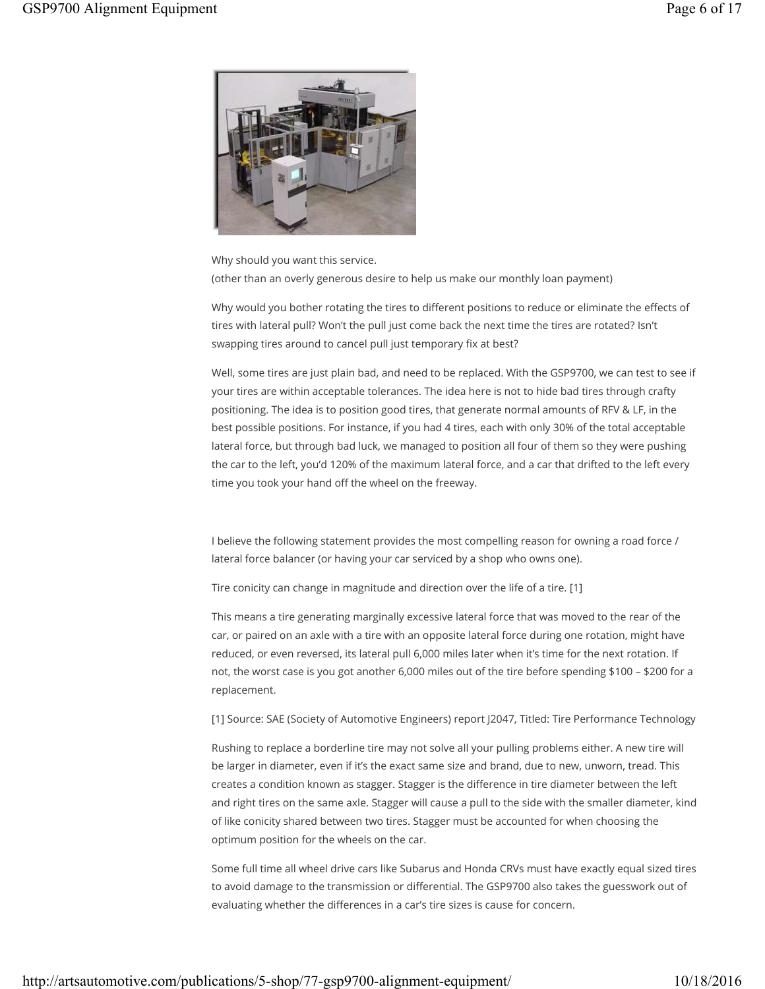

Why should you want this service. (other than an overly generous desire to help us make our monthly loan payment)

Why would you bother rotating the tires to different positions to reduce or eliminate the effects of tires with lateral pull? Won't the pull just come back the next time the tires are rotated? Isn't swapping tires around to cancel pull just temporary fix at best?

Well, some tires are just plain bad, and need to be replaced. With the GSP9700, we can test to see if your tires are within acceptable tolerances. The idea here is not to hide bad tires through crafty positioning. The idea is to position good tires, that generate normal amounts of RFV & LF, in the best possible positions. For instance, if you had 4 tires, each with only 30% of the total acceptable lateral force, but through bad luck, we managed to position all four of them so they were pushing the car to the left, you'd 120% of the maximum lateral force, and a car that drifted to the left every time you took your hand off the wheel on the freeway.

I believe the following statement provides the most compelling reason for owning a road force / lateral force balancer (or having your car serviced by a shop who owns one).

Tire conicity can change in magnitude and direction over the life of a tire. [1]

This means a tire generating marginally excessive lateral force that was moved to the rear of the car, or paired on an axle with a tire with an opposite lateral force during one rotation, might have reduced, or even reversed, its lateral pull 6,000 miles later when it's time for the next rotation. If not, the worst case is you got another 6,000 miles out of the tire before spending \$100 – \$200 for a replacement.

[1] Source: SAE (Society of Automotive Engineers) report J2047, Titled: Tire Performance Technology

Rushing to replace a borderline tire may not solve all your pulling problems either. A new tire will be larger in diameter, even if it's the exact same size and brand, due to new, unworn, tread. This creates a condition known as stagger. Stagger is the difference in tire diameter between the left and right tires on the same axle. Stagger will cause a pull to the side with the smaller diameter, kind of like conicity shared between two tires. Stagger must be accounted for when choosing the optimum position for the wheels on the car.

Some full time all wheel drive cars like Subarus and Honda CRVs must have exactly equal sized tires to avoid damage to the transmission or differential. The GSP9700 also takes the guesswork out of evaluating whether the differences in a car's tire sizes is cause for concern.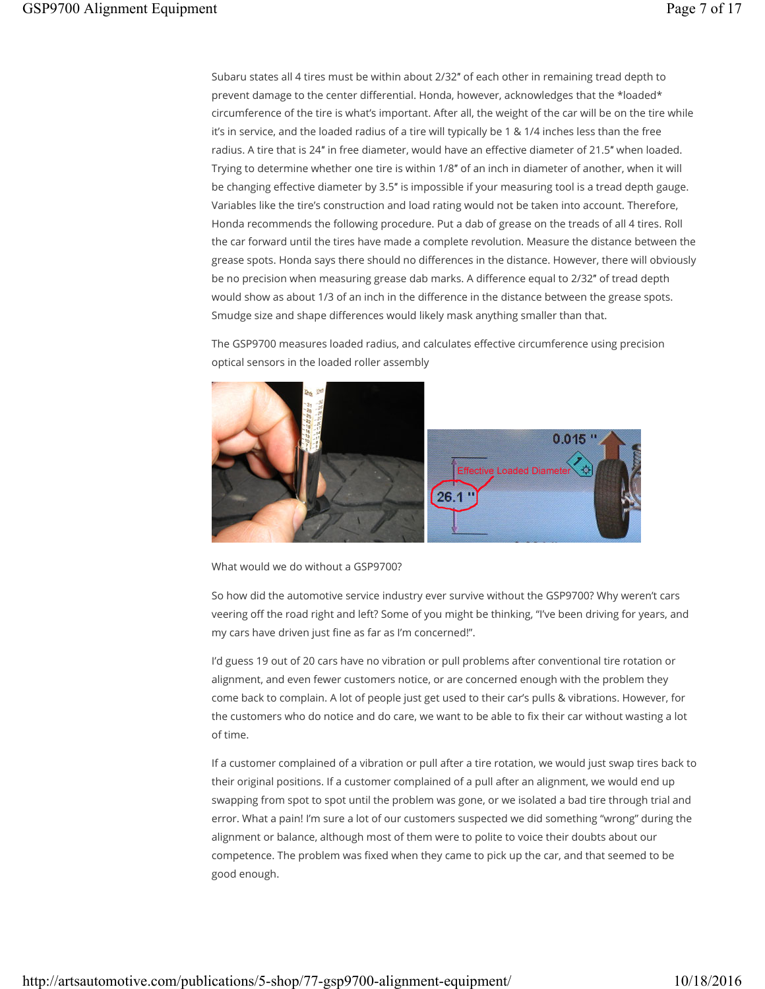Subaru states all 4 tires must be within about 2/32″ of each other in remaining tread depth to prevent damage to the center differential. Honda, however, acknowledges that the \*loaded\* circumference of the tire is what's important. After all, the weight of the car will be on the tire while it's in service, and the loaded radius of a tire will typically be 1 & 1/4 inches less than the free radius. A tire that is 24″ in free diameter, would have an effective diameter of 21.5″ when loaded. Trying to determine whether one tire is within 1/8″ of an inch in diameter of another, when it will be changing effective diameter by 3.5″ is impossible if your measuring tool is a tread depth gauge. Variables like the tire's construction and load rating would not be taken into account. Therefore, Honda recommends the following procedure. Put a dab of grease on the treads of all 4 tires. Roll the car forward until the tires have made a complete revolution. Measure the distance between the grease spots. Honda says there should no differences in the distance. However, there will obviously be no precision when measuring grease dab marks. A difference equal to 2/32″ of tread depth would show as about 1/3 of an inch in the difference in the distance between the grease spots. Smudge size and shape differences would likely mask anything smaller than that.

The GSP9700 measures loaded radius, and calculates effective circumference using precision optical sensors in the loaded roller assembly



What would we do without a GSP9700?

So how did the automotive service industry ever survive without the GSP9700? Why weren't cars veering off the road right and left? Some of you might be thinking, "I've been driving for years, and my cars have driven just fine as far as I'm concerned!".

I'd guess 19 out of 20 cars have no vibration or pull problems after conventional tire rotation or alignment, and even fewer customers notice, or are concerned enough with the problem they come back to complain. A lot of people just get used to their car's pulls & vibrations. However, for the customers who do notice and do care, we want to be able to fix their car without wasting a lot of time.

If a customer complained of a vibration or pull after a tire rotation, we would just swap tires back to their original positions. If a customer complained of a pull after an alignment, we would end up swapping from spot to spot until the problem was gone, or we isolated a bad tire through trial and error. What a pain! I'm sure a lot of our customers suspected we did something "wrong" during the alignment or balance, although most of them were to polite to voice their doubts about our competence. The problem was fixed when they came to pick up the car, and that seemed to be good enough.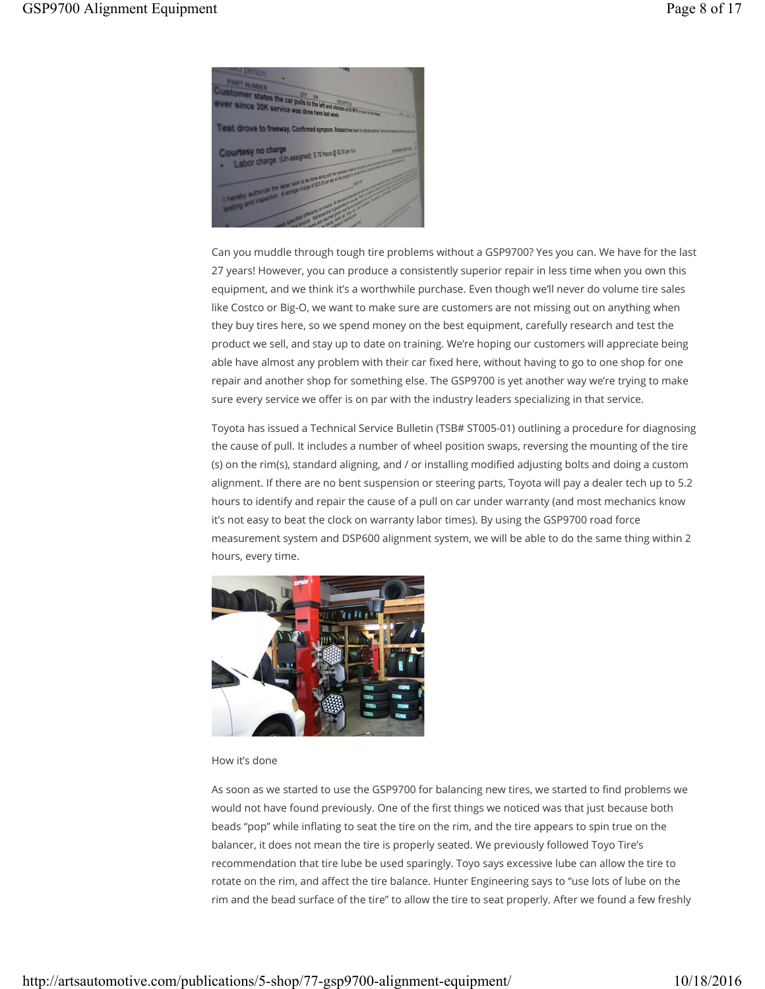

Can you muddle through tough tire problems without a GSP9700? Yes you can. We have for the last 27 years! However, you can produce a consistently superior repair in less time when you own this equipment, and we think it's a worthwhile purchase. Even though we'll never do volume tire sales like Costco or Big-O, we want to make sure are customers are not missing out on anything when they buy tires here, so we spend money on the best equipment, carefully research and test the product we sell, and stay up to date on training. We're hoping our customers will appreciate being able have almost any problem with their car fixed here, without having to go to one shop for one repair and another shop for something else. The GSP9700 is yet another way we're trying to make sure every service we offer is on par with the industry leaders specializing in that service.

Toyota has issued a Technical Service Bulletin (TSB# ST005-01) outlining a procedure for diagnosing the cause of pull. It includes a number of wheel position swaps, reversing the mounting of the tire (s) on the rim(s), standard aligning, and / or installing modified adjusting bolts and doing a custom alignment. If there are no bent suspension or steering parts, Toyota will pay a dealer tech up to 5.2 hours to identify and repair the cause of a pull on car under warranty (and most mechanics know it's not easy to beat the clock on warranty labor times). By using the GSP9700 road force measurement system and DSP600 alignment system, we will be able to do the same thing within 2 hours, every time.



### How it's done

As soon as we started to use the GSP9700 for balancing new tires, we started to find problems we would not have found previously. One of the first things we noticed was that just because both beads "pop" while inflating to seat the tire on the rim, and the tire appears to spin true on the balancer, it does not mean the tire is properly seated. We previously followed Toyo Tire's recommendation that tire lube be used sparingly. Toyo says excessive lube can allow the tire to rotate on the rim, and affect the tire balance. Hunter Engineering says to "use lots of lube on the rim and the bead surface of the tire" to allow the tire to seat properly. After we found a few freshly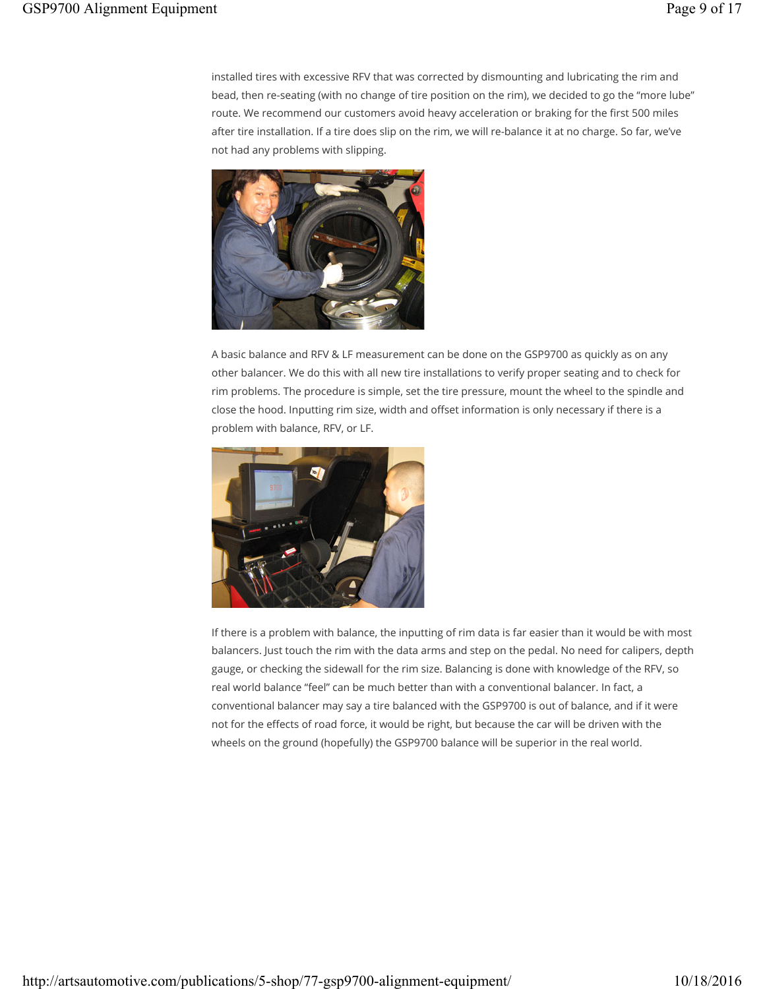installed tires with excessive RFV that was corrected by dismounting and lubricating the rim and bead, then re-seating (with no change of tire position on the rim), we decided to go the "more lube" route. We recommend our customers avoid heavy acceleration or braking for the first 500 miles after tire installation. If a tire does slip on the rim, we will re-balance it at no charge. So far, we've not had any problems with slipping.



A basic balance and RFV & LF measurement can be done on the GSP9700 as quickly as on any other balancer. We do this with all new tire installations to verify proper seating and to check for rim problems. The procedure is simple, set the tire pressure, mount the wheel to the spindle and close the hood. Inputting rim size, width and offset information is only necessary if there is a problem with balance, RFV, or LF.



If there is a problem with balance, the inputting of rim data is far easier than it would be with most balancers. Just touch the rim with the data arms and step on the pedal. No need for calipers, depth gauge, or checking the sidewall for the rim size. Balancing is done with knowledge of the RFV, so real world balance "feel" can be much better than with a conventional balancer. In fact, a conventional balancer may say a tire balanced with the GSP9700 is out of balance, and if it were not for the effects of road force, it would be right, but because the car will be driven with the wheels on the ground (hopefully) the GSP9700 balance will be superior in the real world.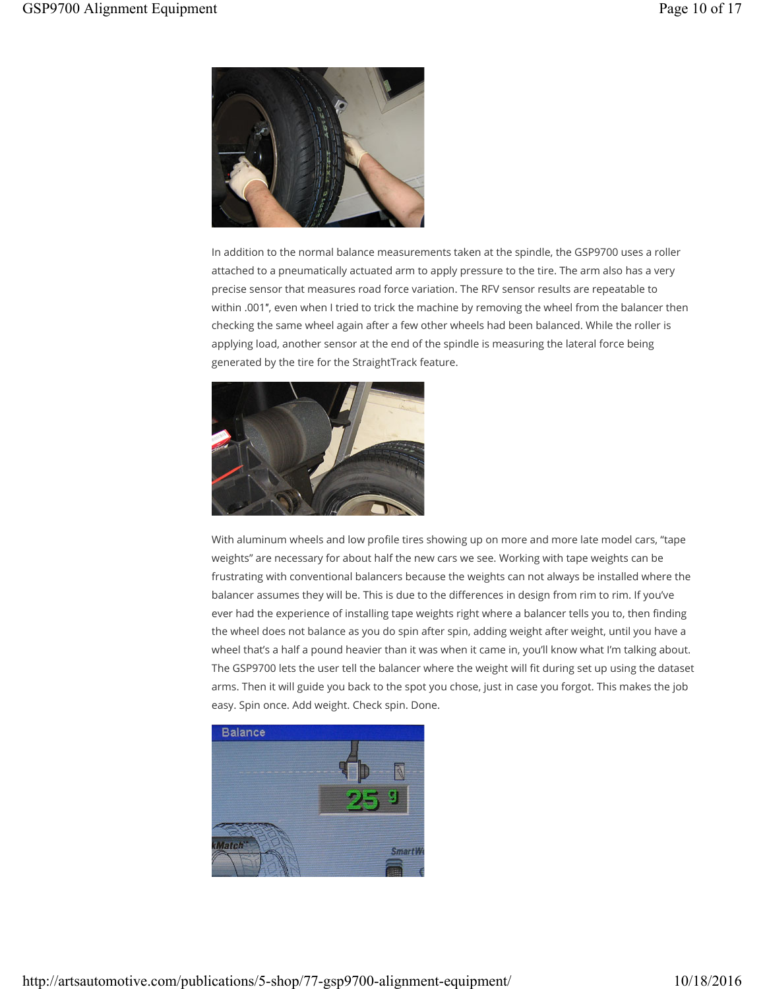

In addition to the normal balance measurements taken at the spindle, the GSP9700 uses a roller attached to a pneumatically actuated arm to apply pressure to the tire. The arm also has a very precise sensor that measures road force variation. The RFV sensor results are repeatable to within .001″, even when I tried to trick the machine by removing the wheel from the balancer then checking the same wheel again after a few other wheels had been balanced. While the roller is applying load, another sensor at the end of the spindle is measuring the lateral force being generated by the tire for the StraightTrack feature.



With aluminum wheels and low profile tires showing up on more and more late model cars, "tape weights" are necessary for about half the new cars we see. Working with tape weights can be frustrating with conventional balancers because the weights can not always be installed where the balancer assumes they will be. This is due to the differences in design from rim to rim. If you've ever had the experience of installing tape weights right where a balancer tells you to, then finding the wheel does not balance as you do spin after spin, adding weight after weight, until you have a wheel that's a half a pound heavier than it was when it came in, you'll know what I'm talking about. The GSP9700 lets the user tell the balancer where the weight will fit during set up using the dataset arms. Then it will guide you back to the spot you chose, just in case you forgot. This makes the job easy. Spin once. Add weight. Check spin. Done.

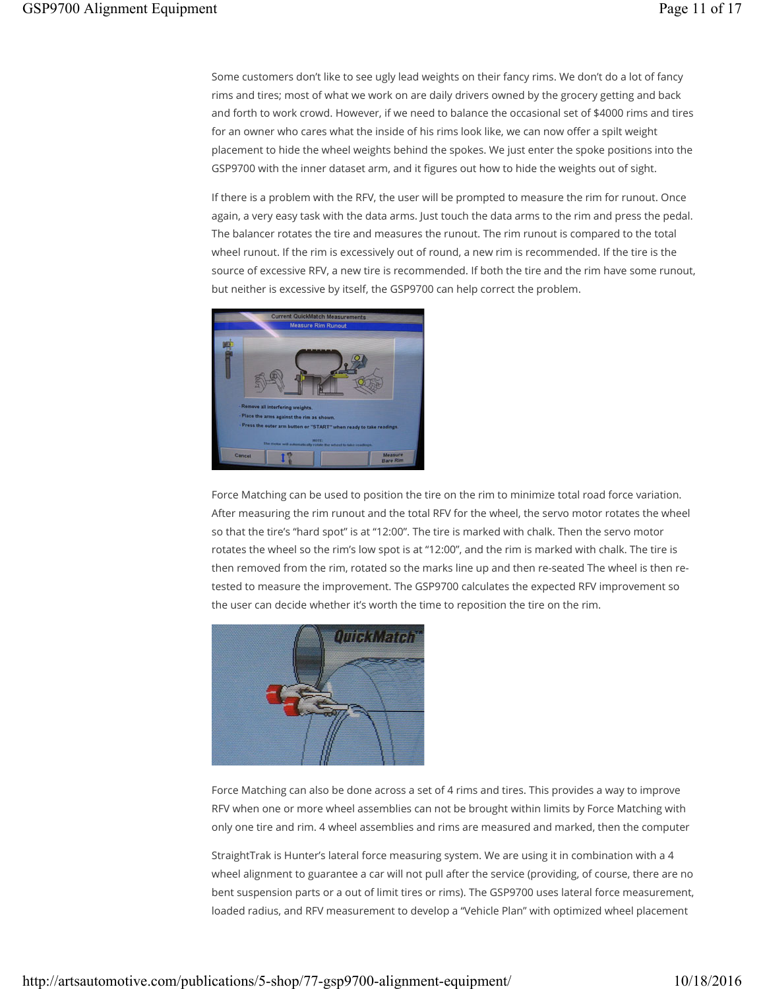Some customers don't like to see ugly lead weights on their fancy rims. We don't do a lot of fancy rims and tires; most of what we work on are daily drivers owned by the grocery getting and back and forth to work crowd. However, if we need to balance the occasional set of \$4000 rims and tires for an owner who cares what the inside of his rims look like, we can now offer a spilt weight placement to hide the wheel weights behind the spokes. We just enter the spoke positions into the GSP9700 with the inner dataset arm, and it figures out how to hide the weights out of sight.

If there is a problem with the RFV, the user will be prompted to measure the rim for runout. Once again, a very easy task with the data arms. Just touch the data arms to the rim and press the pedal. The balancer rotates the tire and measures the runout. The rim runout is compared to the total wheel runout. If the rim is excessively out of round, a new rim is recommended. If the tire is the source of excessive RFV, a new tire is recommended. If both the tire and the rim have some runout, but neither is excessive by itself, the GSP9700 can help correct the problem.



Force Matching can be used to position the tire on the rim to minimize total road force variation. After measuring the rim runout and the total RFV for the wheel, the servo motor rotates the wheel so that the tire's "hard spot" is at "12:00". The tire is marked with chalk. Then the servo motor rotates the wheel so the rim's low spot is at "12:00", and the rim is marked with chalk. The tire is then removed from the rim, rotated so the marks line up and then re-seated The wheel is then retested to measure the improvement. The GSP9700 calculates the expected RFV improvement so the user can decide whether it's worth the time to reposition the tire on the rim.



Force Matching can also be done across a set of 4 rims and tires. This provides a way to improve RFV when one or more wheel assemblies can not be brought within limits by Force Matching with only one tire and rim. 4 wheel assemblies and rims are measured and marked, then the computer

StraightTrak is Hunter's lateral force measuring system. We are using it in combination with a 4 wheel alignment to guarantee a car will not pull after the service (providing, of course, there are no bent suspension parts or a out of limit tires or rims). The GSP9700 uses lateral force measurement, loaded radius, and RFV measurement to develop a "Vehicle Plan" with optimized wheel placement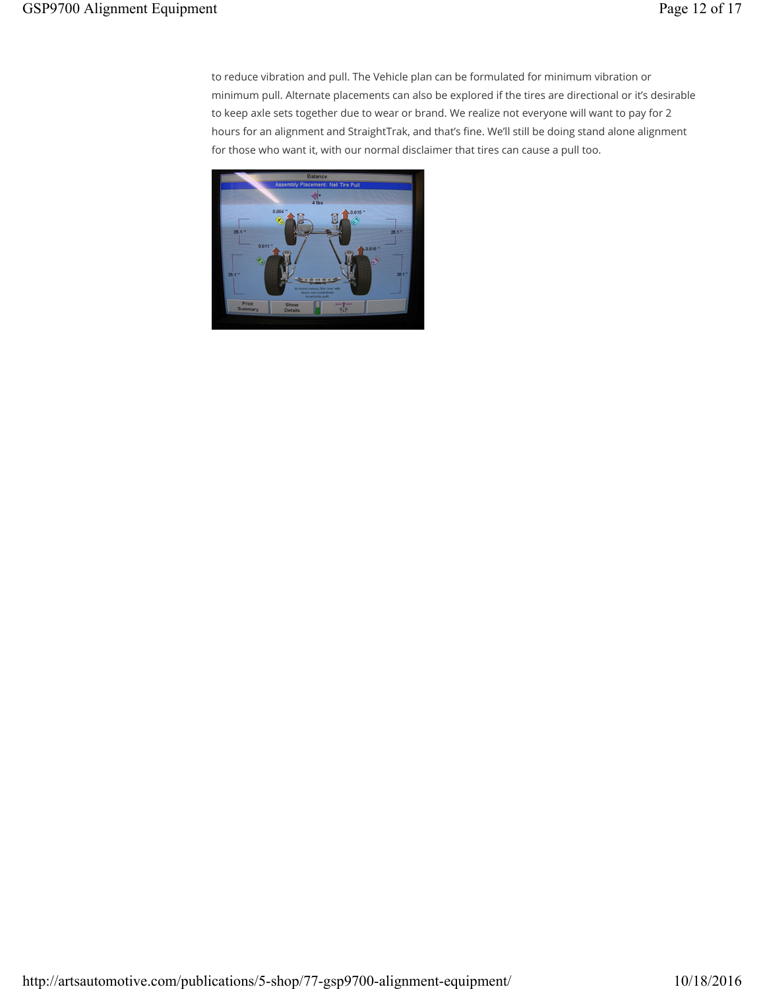to reduce vibration and pull. The Vehicle plan can be formulated for minimum vibration or minimum pull. Alternate placements can also be explored if the tires are directional or it's desirable to keep axle sets together due to wear or brand. We realize not everyone will want to pay for 2 hours for an alignment and StraightTrak, and that's fine. We'll still be doing stand alone alignment for those who want it, with our normal disclaimer that tires can cause a pull too.